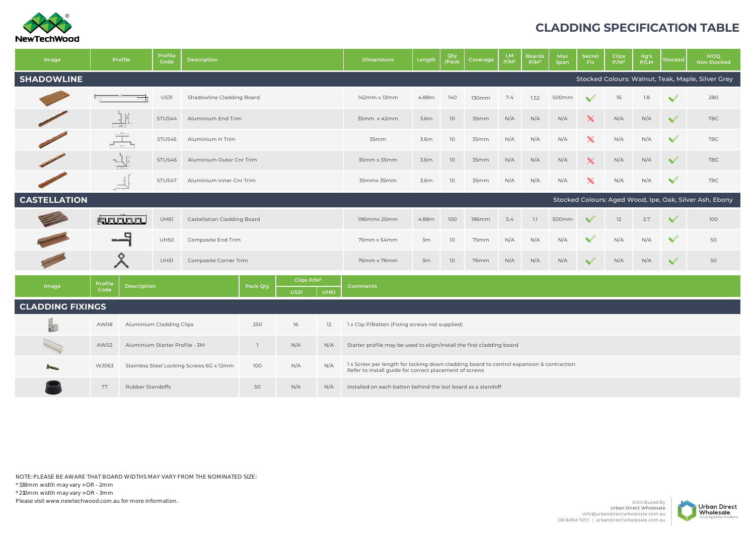

## **CLADDING SPECIFICATION TABLE**

| Image                   |                 | Profile                                                                                                                                                                                                            | <b>Profile</b><br>Code         | <b>Description</b>        |                                                                                  |                                       |             | <b>Dimensions</b>                                                     | Length | Qty<br>Pack/ | Coverage     | <b>LM</b><br>$P/M^2$ | <b>Boards</b><br>$P/M^2$ | Max<br>Span | <b>Secret</b><br>Fix. | Clips<br>$P/M^2$ | Kg's<br>P/LM | <b>Stocked</b> | <b>MOQ</b><br><b>Non Stocked</b>                        |
|-------------------------|-----------------|--------------------------------------------------------------------------------------------------------------------------------------------------------------------------------------------------------------------|--------------------------------|---------------------------|----------------------------------------------------------------------------------|---------------------------------------|-------------|-----------------------------------------------------------------------|--------|--------------|--------------|----------------------|--------------------------|-------------|-----------------------|------------------|--------------|----------------|---------------------------------------------------------|
| <b>SHADOWLINE</b>       |                 |                                                                                                                                                                                                                    |                                |                           |                                                                                  |                                       |             |                                                                       |        |              |              |                      |                          |             |                       |                  |              |                | Stocked Colours: Walnut, Teak, Maple, Silver Grey       |
|                         |                 |                                                                                                                                                                                                                    | <b>US31</b>                    | Shadowline Cladding Board |                                                                                  |                                       |             | 142mm x 13mm                                                          | 4.88m  | 140          | 130mm        | 7.4                  | 1.52                     | 500mm       | $\sim$                | 16               | 1.8          | $\checkmark$   | 280                                                     |
|                         |                 |                                                                                                                                                                                                                    | STUS44                         | Aluminium End Trim        |                                                                                  |                                       |             | 35mm x 42mm                                                           | 3.6m   | 10           | 35mm         | N/A                  | N/A                      | N/A         |                       | N/A              | N/A          | $\checkmark$   | <b>TBC</b>                                              |
|                         | 重               | $\alpha$                                                                                                                                                                                                           | STUS45                         | Aluminium H Trim          |                                                                                  |                                       |             | 35mm                                                                  | 3.6m   | 10           | 35mm         | N/A                  | N/A                      | N/A         | X                     | N/A              | N/A          | $\checkmark$   | <b>TBC</b>                                              |
|                         | ℸ               |                                                                                                                                                                                                                    | STUS46                         | Aluminium Outer Cnr Trim  |                                                                                  |                                       |             | 35mm x 35mm                                                           | 3.6m   | 10           | 35mm         | N/A                  | N/A                      | N/A         | X                     | N/A              | N/A          | $\checkmark$   | <b>TBC</b>                                              |
|                         |                 |                                                                                                                                                                                                                    | STUS47                         | Aluminium Inner Cnr Trim  |                                                                                  |                                       |             | 35mmx 35mm                                                            | 3.6m   | 10           | 35mm         | N/A                  | N/A                      | N/A         | X                     | N/A              | N/A          | $\checkmark$   | <b>TBC</b>                                              |
| <b>CASTELLATION</b>     |                 |                                                                                                                                                                                                                    |                                |                           |                                                                                  |                                       |             |                                                                       |        |              |              |                      |                          |             |                       |                  |              |                | Stocked Colours: Aged Wood, Ipe, Oak, Silver Ash, Ebony |
|                         |                 | <b>Room</b>                                                                                                                                                                                                        | UH61                           |                           | <b>Castellation Cladding Board</b>                                               |                                       |             | 196mmx 25mm                                                           | 4.88m  | 100          | <b>186mm</b> | 5.4                  | 1.1                      | 500mm       |                       | 12               | 2.7          | $\checkmark$   | 100                                                     |
|                         |                 | o                                                                                                                                                                                                                  | <b>UH50</b>                    | Composite End Trim        |                                                                                  |                                       |             | 75mm x 54mm                                                           | 3m     | 10           | 75mm         | N/A                  | N/A                      | N/A         |                       | N/A              | N/A          | $\checkmark$   | 50                                                      |
|                         |                 |                                                                                                                                                                                                                    | <b>UH51</b>                    | Composite Corner Trim     |                                                                                  |                                       |             | 76mm x 76mm                                                           | 3m     | 10           | 76mm         | N/A                  | N/A                      | N/A         |                       | N/A              | N/A          | $\checkmark$   | 50                                                      |
| Image                   | Profile<br>Code | Description                                                                                                                                                                                                        |                                |                           | Pack Qty                                                                         | Clips P/M <sup>2</sup><br><b>US31</b> | <b>UH61</b> | <b>Comments</b>                                                       |        |              |              |                      |                          |             |                       |                  |              |                |                                                         |
| <b>CLADDING FIXINGS</b> |                 |                                                                                                                                                                                                                    |                                |                           |                                                                                  |                                       |             |                                                                       |        |              |              |                      |                          |             |                       |                  |              |                |                                                         |
| B.                      | AW08            |                                                                                                                                                                                                                    | Aluminium Cladding Clips       |                           | 250                                                                              | 16                                    | 12          | 1 x Clip P/Batten (Fixing screws not supplied)                        |        |              |              |                      |                          |             |                       |                  |              |                |                                                         |
|                         | AW02            |                                                                                                                                                                                                                    | Aluminium Starter Profile - 3M |                           | $\mathbf{1}$                                                                     | N/A                                   | N/A         | Starter profile may be used to align/install the first cladding board |        |              |              |                      |                          |             |                       |                  |              |                |                                                         |
|                         | WJ063           | 1x Screw per length for locking down cladding board to control expansion & contraction.<br>N/A<br>Stainless Steel Locking Screws 6G x 12mm<br>100<br>N/A<br>Refer to install quide for correct placement of screws |                                |                           |                                                                                  |                                       |             |                                                                       |        |              |              |                      |                          |             |                       |                  |              |                |                                                         |
|                         | T7              | <b>Rubber Standoffs</b>                                                                                                                                                                                            |                                |                           | 50<br>N/A<br>N/A<br>Installed on each batten behind the last board as a standoff |                                       |             |                                                                       |        |              |              |                      |                          |             |                       |                  |              |                |                                                         |

NOTE: PLEASE BE AWARE THAT BOARD WIDTHS MAY VARY FROM THE NOMINATED SIZE: \* 138mm width may vary + OR - 2mm \* 210mm width may vary + OR - 3mm Please visit www.newtechwood.com.au for more information.